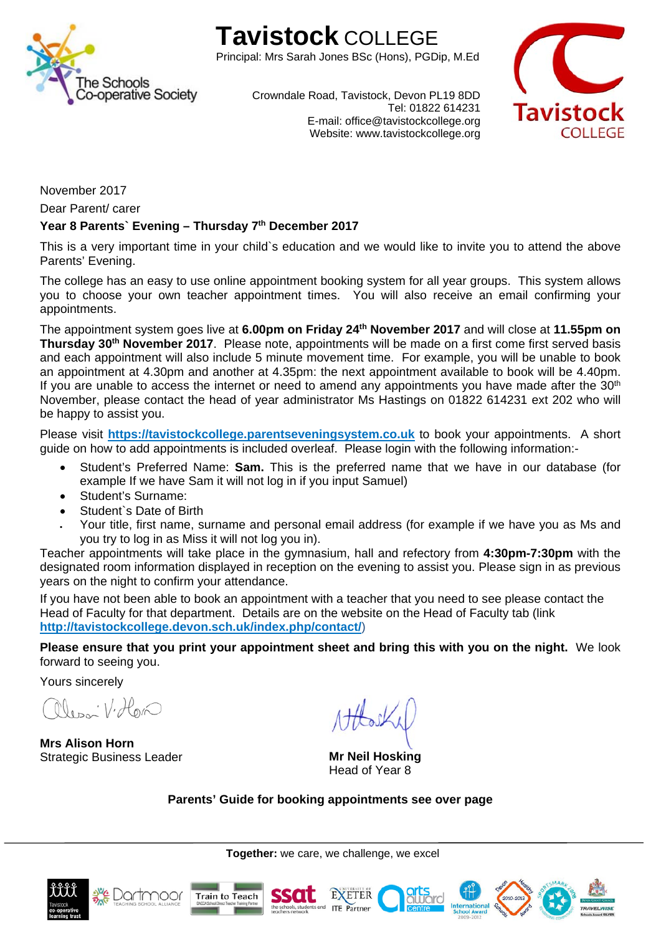

# **Tavistock** COLLEGE

Principal: Mrs Sarah Jones BSc (Hons), PGDip, M.Ed



Crowndale Road, Tavistock, Devon PL19 8DD Tel: 01822 614231 E-mail: office@tavistockcollege.org Website: www.tavistockcollege.org

November 2017

Dear Parent/ carer

## Year 8 Parents' Evening - Thursday 7<sup>th</sup> December 2017

This is a very important time in your child`s education and we would like to invite you to attend the above Parents' Evening.

The college has an easy to use online appointment booking system for all year groups. This system allows you to choose your own teacher appointment times. You will also receive an email confirming your appointments.

The appointment system goes live at **6.00pm on Friday 24th November 2017** and will close at **11.55pm on Thursday 30th November 2017**. Please note, appointments will be made on a first come first served basis and each appointment will also include 5 minute movement time. For example, you will be unable to book an appointment at 4.30pm and another at 4.35pm: the next appointment available to book will be 4.40pm. If you are unable to access the internet or need to amend any appointments you have made after the  $30<sup>th</sup>$ November, please contact the head of year administrator Ms Hastings on 01822 614231 ext 202 who will be happy to assist you.

Please visit **https://tavistockcollege.parentseveningsystem.co.uk** to book your appointments. A short guide on how to add appointments is included overleaf. Please login with the following information:-

- Student's Preferred Name: **Sam.** This is the preferred name that we have in our database (for example If we have Sam it will not log in if you input Samuel)
- Student's Surname:
- Student`s Date of Birth
- Your title, first name, surname and personal email address (for example if we have you as Ms and you try to log in as Miss it will not log you in).

Teacher appointments will take place in the gymnasium, hall and refectory from **4:30pm-7:30pm** with the designated room information displayed in reception on the evening to assist you. Please sign in as previous years on the night to confirm your attendance.

If you have not been able to book an appointment with a teacher that you need to see please contact the Head of Faculty for that department. Details are on the website on the Head of Faculty tab (link **http://tavistockcollege.devon.sch.uk/index.php/contact/**)

**Please ensure that you print your appointment sheet and bring this with you on the night.** We look forward to seeing you.

Yours sincerely

lean V. Hon

**Mrs Alison Horn**  Strategic Business Leader **Mr Neil Hosking** 

Head of Year 8

**Parents' Guide for booking appointments see over page** 

**Together:** we care, we challenge, we excel







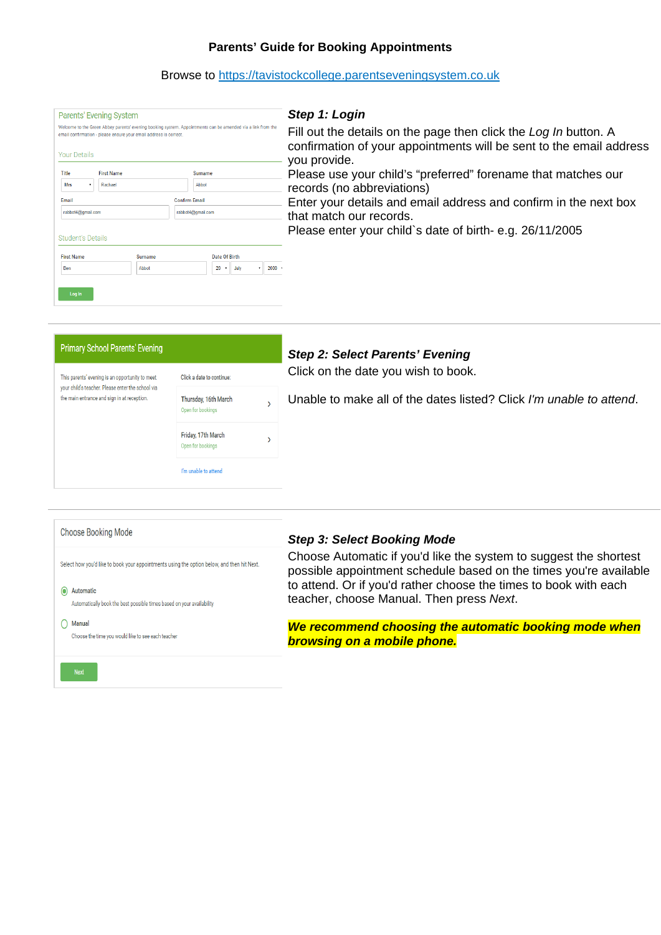# **Parents' Guide for Booking Appointments**

# Browse to https://tavistockcollege.parentseveningsystem.co.uk

| Parents' Evening System                                                                                                                                                          | Step 1: Login                                                                                                                                          |
|----------------------------------------------------------------------------------------------------------------------------------------------------------------------------------|--------------------------------------------------------------------------------------------------------------------------------------------------------|
| Welcome to the Green Abbey parents' evening booking system. Appointments can be amended via a link from the<br>email confirmation - please ensure your email address is correct. | Fill out the details on the page then click the Log In button. A<br>confirmation of your appointments will be sent to the email address                |
| <b>Your Details</b>                                                                                                                                                              | you provide.                                                                                                                                           |
| Title<br><b>First Name</b><br>Surname<br>Mrs<br>Rachael<br>Abbot                                                                                                                 | Please use your child's "preferred" forename that matches our<br>records (no abbreviations)                                                            |
| Email<br><b>Confirm Email</b><br>rabbot4@gmail.com<br>rabbot4@gmail.com                                                                                                          | Enter your details and email address and confirm in the next box<br>that match our records.<br>Please enter your child's date of birth-e.g. 26/11/2005 |
| <b>Student's Details</b>                                                                                                                                                         |                                                                                                                                                        |
| <b>First Name</b><br>Date Of Birth<br><b>Surname</b><br>$20 \times$<br>$2000 - 1$<br>Abbot<br>July<br>Ben<br>Log In                                                              |                                                                                                                                                        |

| <b>Primary School Parents' Evening</b>                                                                                                              |                                           |  | <b>Step 2: Select Parents' Evening</b>                              |  |  |
|-----------------------------------------------------------------------------------------------------------------------------------------------------|-------------------------------------------|--|---------------------------------------------------------------------|--|--|
| This parents' evening is an opportunity to meet<br>your child's teacher. Please enter the school via<br>the main entrance and sign in at reception. | Click a date to continue:                 |  | Click on the date you wish to book.                                 |  |  |
|                                                                                                                                                     | Thursday, 16th March<br>Open for bookings |  | Unable to make all of the dates listed? Click I'm unable to attend. |  |  |
|                                                                                                                                                     | Friday, 17th March<br>Open for bookings   |  |                                                                     |  |  |
|                                                                                                                                                     | I'm unable to attend                      |  |                                                                     |  |  |
|                                                                                                                                                     |                                           |  |                                                                     |  |  |
|                                                                                                                                                     |                                           |  |                                                                     |  |  |

| Choose Booking Mode                                                                        | <b>Step 3: Select Booking Mode</b>                                                                                                     |
|--------------------------------------------------------------------------------------------|----------------------------------------------------------------------------------------------------------------------------------------|
| Select how you'd like to book your appointments using the option below, and then hit Next. | Choose Automatic if you'd like the system to suggest the shortest<br>possible appointment schedule based on the times you're available |
| Automatic                                                                                  | to attend. Or if you'd rather choose the times to book with each                                                                       |
| Automatically book the best possible times based on your availability                      | teacher, choose Manual. Then press Next.                                                                                               |
| Manual                                                                                     | We recommend choosing the automatic booking mode when                                                                                  |
| Choose the time you would like to see each teacher                                         | <b>browsing on a mobile phone.</b>                                                                                                     |
| <b>Next</b>                                                                                |                                                                                                                                        |